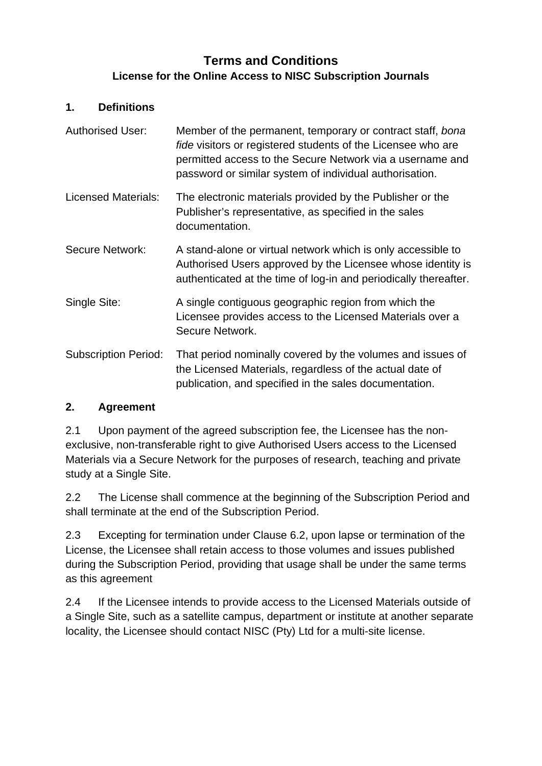# **Terms and Conditions License for the Online Access to NISC Subscription Journals**

#### **1. Definitions**

| <b>Authorised User:</b>     | Member of the permanent, temporary or contract staff, bona<br><i>fide</i> visitors or registered students of the Licensee who are<br>permitted access to the Secure Network via a username and<br>password or similar system of individual authorisation. |
|-----------------------------|-----------------------------------------------------------------------------------------------------------------------------------------------------------------------------------------------------------------------------------------------------------|
| <b>Licensed Materials:</b>  | The electronic materials provided by the Publisher or the<br>Publisher's representative, as specified in the sales<br>documentation.                                                                                                                      |
| <b>Secure Network:</b>      | A stand-alone or virtual network which is only accessible to<br>Authorised Users approved by the Licensee whose identity is<br>authenticated at the time of log-in and periodically thereafter.                                                           |
| Single Site:                | A single contiguous geographic region from which the<br>Licensee provides access to the Licensed Materials over a<br>Secure Network.                                                                                                                      |
| <b>Subscription Period:</b> | That period nominally covered by the volumes and issues of<br>the Licensed Materials, regardless of the actual date of<br>publication, and specified in the sales documentation.                                                                          |

### **2. Agreement**

2.1 Upon payment of the agreed subscription fee, the Licensee has the nonexclusive, non-transferable right to give Authorised Users access to the Licensed Materials via a Secure Network for the purposes of research, teaching and private study at a Single Site.

2.2 The License shall commence at the beginning of the Subscription Period and shall terminate at the end of the Subscription Period.

2.3 Excepting for termination under Clause 6.2, upon lapse or termination of the License, the Licensee shall retain access to those volumes and issues published during the Subscription Period, providing that usage shall be under the same terms as this agreement

2.4 If the Licensee intends to provide access to the Licensed Materials outside of a Single Site, such as a satellite campus, department or institute at another separate locality, the Licensee should contact NISC (Pty) Ltd for a multi-site license.